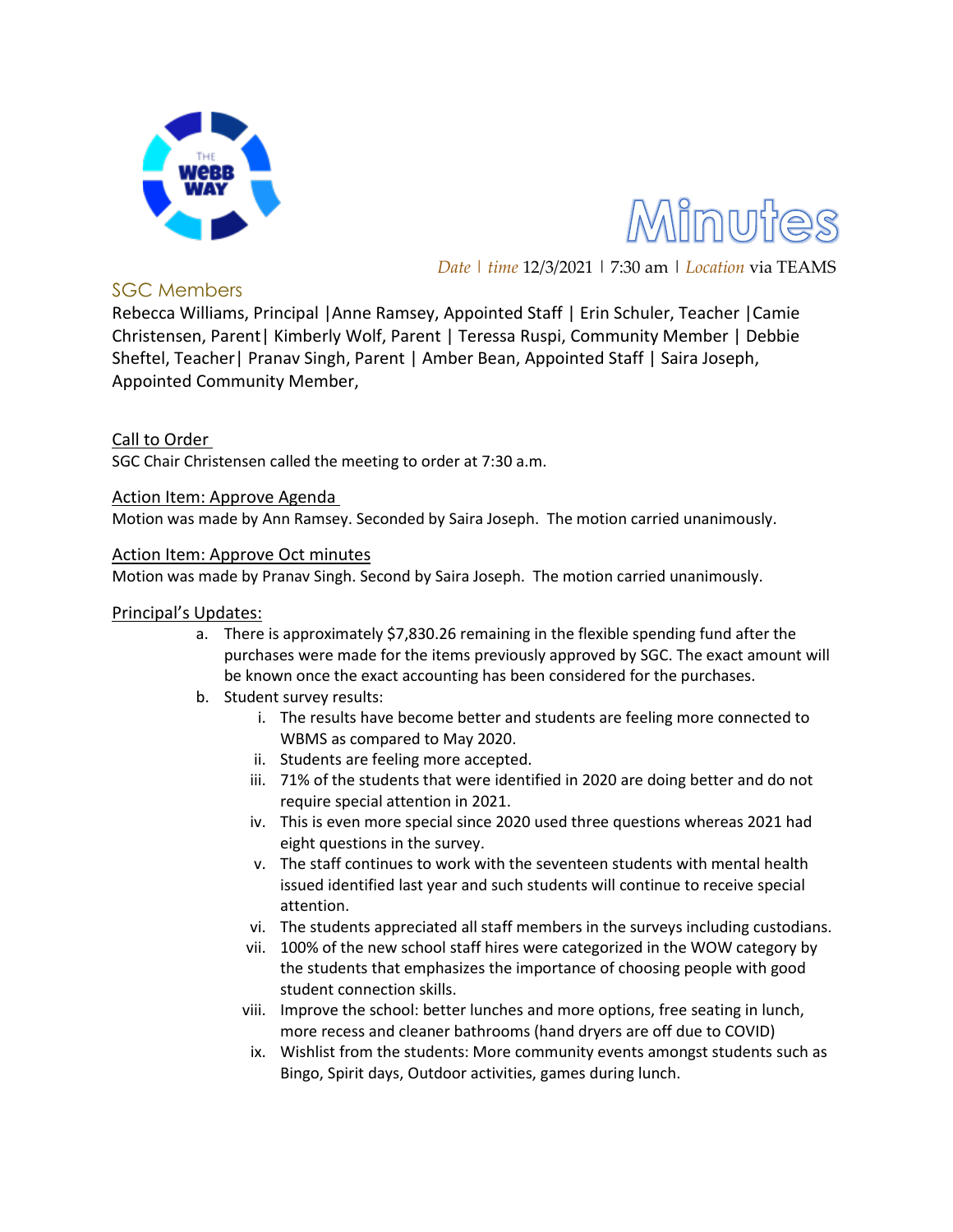



*Date | time* 12/3/2021 | 7:30 am | *Location* via TEAMS

## SGC Members

Rebecca Williams, Principal |Anne Ramsey, Appointed Staff | Erin Schuler, Teacher |Camie Christensen, Parent| Kimberly Wolf, Parent | Teressa Ruspi, Community Member | Debbie Sheftel, Teacher| Pranav Singh, Parent | Amber Bean, Appointed Staff | Saira Joseph, Appointed Community Member,

## Call to Order

SGC Chair Christensen called the meeting to order at 7:30 a.m.

Action Item: Approve Agenda

Motion was made by Ann Ramsey. Seconded by Saira Joseph. The motion carried unanimously.

#### Action Item: Approve Oct minutes

Motion was made by Pranav Singh. Second by Saira Joseph. The motion carried unanimously.

### Principal's Updates:

- a. There is approximately \$7,830.26 remaining in the flexible spending fund after the purchases were made for the items previously approved by SGC. The exact amount will be known once the exact accounting has been considered for the purchases.
- b. Student survey results:
	- i. The results have become better and students are feeling more connected to WBMS as compared to May 2020.
	- ii. Students are feeling more accepted.
	- iii. 71% of the students that were identified in 2020 are doing better and do not require special attention in 2021.
	- iv. This is even more special since 2020 used three questions whereas 2021 had eight questions in the survey.
	- v. The staff continues to work with the seventeen students with mental health issued identified last year and such students will continue to receive special attention.
	- vi. The students appreciated all staff members in the surveys including custodians.
	- vii. 100% of the new school staff hires were categorized in the WOW category by the students that emphasizes the importance of choosing people with good student connection skills.
	- viii. Improve the school: better lunches and more options, free seating in lunch, more recess and cleaner bathrooms (hand dryers are off due to COVID)
	- ix. Wishlist from the students: More community events amongst students such as Bingo, Spirit days, Outdoor activities, games during lunch.